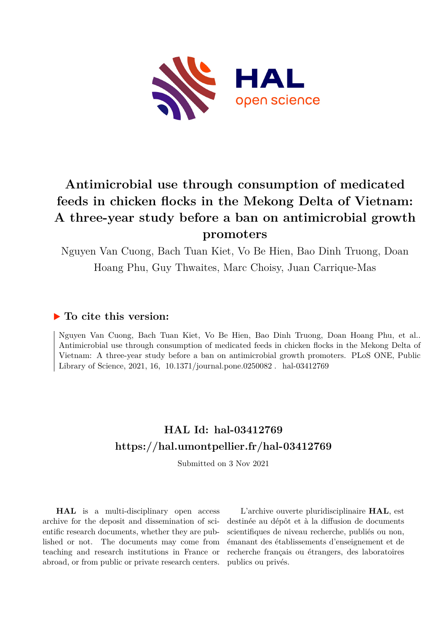

# **Antimicrobial use through consumption of medicated feeds in chicken flocks in the Mekong Delta of Vietnam: A three-year study before a ban on antimicrobial growth promoters**

Nguyen Van Cuong, Bach Tuan Kiet, Vo Be Hien, Bao Dinh Truong, Doan Hoang Phu, Guy Thwaites, Marc Choisy, Juan Carrique-Mas

# **To cite this version:**

Nguyen Van Cuong, Bach Tuan Kiet, Vo Be Hien, Bao Dinh Truong, Doan Hoang Phu, et al.. Antimicrobial use through consumption of medicated feeds in chicken flocks in the Mekong Delta of Vietnam: A three-year study before a ban on antimicrobial growth promoters. PLoS ONE, Public Library of Science, 2021, 16,  $10.1371$ /journal.pone.0250082. hal-03412769

# **HAL Id: hal-03412769 <https://hal.umontpellier.fr/hal-03412769>**

Submitted on 3 Nov 2021

**HAL** is a multi-disciplinary open access archive for the deposit and dissemination of scientific research documents, whether they are published or not. The documents may come from teaching and research institutions in France or abroad, or from public or private research centers.

L'archive ouverte pluridisciplinaire **HAL**, est destinée au dépôt et à la diffusion de documents scientifiques de niveau recherche, publiés ou non, émanant des établissements d'enseignement et de recherche français ou étrangers, des laboratoires publics ou privés.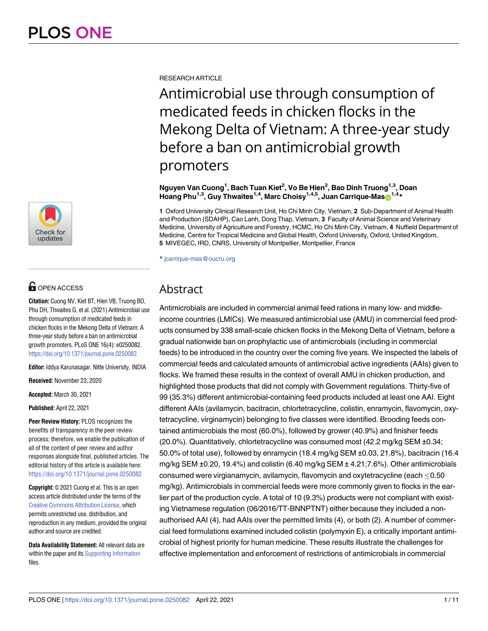

# $\blacksquare$  OPEN ACCESS

**Citation:** Cuong NV, Kiet BT, Hien VB, Truong BD, Phu DH, Thwaites G, et al. (2021) Antimicrobial use through consumption of medicated feeds in chicken flocks in the Mekong Delta of Vietnam: A three-year study before a ban on antimicrobial growth promoters. PLoS ONE 16(4): e0250082. <https://doi.org/10.1371/journal.pone.0250082>

**Editor:** Iddya Karunasagar, Nitte University, INDIA

**Received:** November 23, 2020

**Accepted:** March 30, 2021

**Published:** April 22, 2021

**Peer Review History:** PLOS recognizes the benefits of transparency in the peer review process; therefore, we enable the publication of all of the content of peer review and author responses alongside final, published articles. The editorial history of this article is available here: <https://doi.org/10.1371/journal.pone.0250082>

**Copyright:** © 2021 Cuong et al. This is an open access article distributed under the terms of the Creative Commons [Attribution](http://creativecommons.org/licenses/by/4.0/) License, which permits unrestricted use, distribution, and reproduction in any medium, provided the original author and source are credited.

**Data Availability Statement:** All relevant data are within the paper and its Supporting Information files.

RESEARCH ARTICLE

Antimicrobial use through consumption of medicated feeds in chicken flocks in the Mekong Delta of Vietnam: A three-year study before a ban on antimicrobial growth promoters

**Nguyen Van Cuong1 , Bach Tuan Kiet2 , Vo Be Hien2 , Bao Dinh Truong1,3, Doan Hoang Phu<sup>1,3</sup>, Guy Thwaites<sup>1,4</sup>, Marc Choisy<sup>1,4,5</sup>, Juan Carrique-Mas<sup>1,4</sup>\*** 

**1** Oxford University Clinical Research Unit, Ho Chi Minh City, Vietnam, **2** Sub-Department of Animal Health and Production (SDAHP), Cao Lanh, Dong Thap, Vietnam, **3** Faculty of Animal Science and Veterinary Medicine, University of Agriculture and Forestry, HCMC, Ho Chi Minh City, Vietnam, **4** Nuffield Department of Medicine, Centre for Tropical Medicine and Global Health, Oxford University, Oxford, United Kingdom, **5** MIVEGEC, IRD, CNRS, University of Montpellier, Montpellier, France

\* jcarrique-mas@oucru.org

# Abstract

Antimicrobials are included in commercial animal feed rations in many low- and middleincome countries (LMICs). We measured antimicrobial use (AMU) in commercial feed products consumed by 338 small-scale chicken flocks in the Mekong Delta of Vietnam, before a gradual nationwide ban on prophylactic use of antimicrobials (including in commercial feeds) to be introduced in the country over the coming five years. We inspected the labels of commercial feeds and calculated amounts of antimicrobial active ingredients (AAIs) given to flocks. We framed these results in the context of overall AMU in chicken production, and highlighted those products that did not comply with Government regulations. Thirty-five of 99 (35.3%) different antimicrobial-containing feed products included at least one AAI. Eight different AAIs (avilamycin, bacitracin, chlortetracycline, colistin, enramycin, flavomycin, oxytetracycline, virginamycin) belonging to five classes were identified. Brooding feeds contained antimicrobials the most (60.0%), followed by grower (40.9%) and finisher feeds (20.0%). Quantitatively, chlortetracycline was consumed most (42.2 mg/kg SEM ±0.34; 50.0% of total use), followed by enramycin (18.4 mg/kg SEM ±0.03, 21.8%), bacitracin (16.4 mg/kg SEM ±0.20, 19.4%) and colistin (6.40 mg/kg SEM ± 4.21;7.6%). Other antimicrobials consumed were virgianamycin, avilamycin, flavomycin and oxytetracycline (each  $\leq$ 0.50 mg/kg). Antimicrobials in commercial feeds were more commonly given to flocks in the earlier part of the production cycle. A total of 10 (9.3%) products were not compliant with existing Vietnamese regulation (06/2016/TT-BNNPTNT) either because they included a nonauthorised AAI (4), had AAIs over the permitted limits (4), or both (2). A number of commercial feed formulations examined included colistin (polymyxin E), a critically important antimicrobial of highest priority for human medicine. These results illustrate the challenges for effective implementation and enforcement of restrictions of antimicrobials in commercial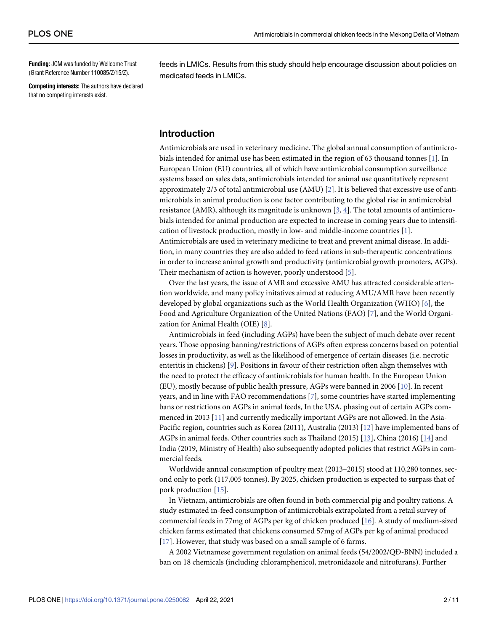**Funding:** JCM was funded by Wellcome Trust (Grant Reference Number 110085/Z/15/Z).

**Competing interests:** The authors have declared that no competing interests exist.

feeds in LMICs. Results from this study should help encourage discussion about policies on medicated feeds in LMICs.

### **Introduction**

Antimicrobials are used in veterinary medicine. The global annual consumption of antimicrobials intended for animal use has been estimated in the region of 63 thousand tonnes [1]. In European Union (EU) countries, all of which have antimicrobial consumption surveillance systems based on sales data, antimicrobials intended for animal use quantitatively represent approximately 2/3 of total antimicrobial use (AMU) [2]. It is believed that excessive use of antimicrobials in animal production is one factor contributing to the global rise in antimicrobial resistance (AMR), although its magnitude is unknown [3, 4]. The total amounts of antimicrobials intended for animal production are expected to increase in coming years due to intensification of livestock production, mostly in low- and middle-income countries [1]. Antimicrobials are used in veterinary medicine to treat and prevent animal disease. In addition, in many countries they are also added to feed rations in sub-therapeutic concentrations in order to increase animal growth and productivity (antimicrobial growth promoters, AGPs). Their mechanism of action is however, poorly understood [5].

Over the last years, the issue of AMR and excessive AMU has attracted considerable attention worldwide, and many policy initatives aimed at reducing AMU/AMR have been recently developed by global organizations such as the World Health Organization (WHO) [6], the Food and Agriculture Organization of the United Nations (FAO) [7], and the World Organization for Animal Health (OIE) [8].

Antimicrobials in feed (including AGPs) have been the subject of much debate over recent years. Those opposing banning/restrictions of AGPs often express concerns based on potential losses in productivity, as well as the likelihood of emergence of certain diseases (i.e. necrotic enteritis in chickens) [9]. Positions in favour of their restriction often align themselves with the need to protect the efficacy of antimicrobials for human health. In the European Union (EU), mostly because of public health pressure, AGPs were banned in 2006 [10]. In recent years, and in line with FAO recommendations [7], some countries have started implementing bans or restrictions on AGPs in animal feeds, In the USA, phasing out of certain AGPs commenced in 2013 [11] and currently medically important AGPs are not allowed. In the Asia-Pacific region, countries such as Korea (2011), Australia (2013) [12] have implemented bans of AGPs in animal feeds. Other countries such as Thailand (2015) [13], China (2016) [14] and India (2019, Ministry of Health) also subsequently adopted policies that restrict AGPs in commercial feeds.

Worldwide annual consumption of poultry meat (2013–2015) stood at 110,280 tonnes, second only to pork (117,005 tonnes). By 2025, chicken production is expected to surpass that of pork production [15].

In Vietnam, antimicrobials are often found in both commercial pig and poultry rations. A study estimated in-feed consumption of antimicrobials extrapolated from a retail survey of commercial feeds in 77mg of AGPs per kg of chicken produced [16]. A study of medium-sized chicken farms estimated that chickens consumed 57mg of AGPs per kg of animal produced [17]. However, that study was based on a small sample of 6 farms.

A 2002 Vietnamese government regulation on animal feeds (54/2002/QÐ-BNN) included a ban on 18 chemicals (including chloramphenicol, metronidazole and nitrofurans). Further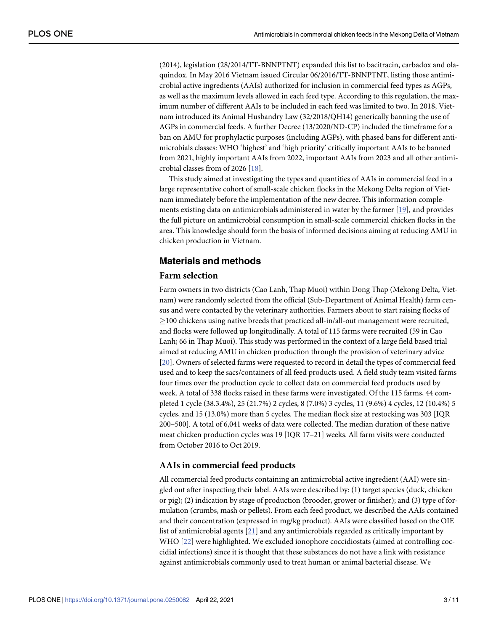(2014), legislation (28/2014/TT-BNNPTNT) expanded this list to bacitracin, carbadox and olaquindox. In May 2016 Vietnam issued Circular 06/2016/TT-BNNPTNT, listing those antimicrobial active ingredients (AAIs) authorized for inclusion in commercial feed types as AGPs, as well as the maximum levels allowed in each feed type. According to this regulation, the maximum number of different AAIs to be included in each feed was limited to two. In 2018, Vietnam introduced its Animal Husbandry Law (32/2018/QH14) generically banning the use of AGPs in commercial feeds. A further Decree (13/2020/ND-CP) included the timeframe for a ban on AMU for prophylactic purposes (including AGPs), with phased bans for different antimicrobials classes: WHO 'highest' and 'high priority' critically important AAIs to be banned from 2021, highly important AAIs from 2022, important AAIs from 2023 and all other antimicrobial classes from of 2026 [18].

This study aimed at investigating the types and quantities of AAIs in commercial feed in a large representative cohort of small-scale chicken flocks in the Mekong Delta region of Vietnam immediately before the implementation of the new decree. This information complements existing data on antimicrobials administered in water by the farmer [19], and provides the full picture on antimicrobial consumption in small-scale commercial chicken flocks in the area. This knowledge should form the basis of informed decisions aiming at reducing AMU in chicken production in Vietnam.

## **Materials and methods**

### **Farm selection**

Farm owners in two districts (Cao Lanh, Thap Muoi) within Dong Thap (Mekong Delta, Vietnam) were randomly selected from the official (Sub-Department of Animal Health) farm census and were contacted by the veterinary authorities. Farmers about to start raising flocks of �100 chickens using native breeds that practiced all-in/all-out management were recruited, and flocks were followed up longitudinally. A total of 115 farms were recruited (59 in Cao Lanh; 66 in Thap Muoi). This study was performed in the context of a large field based trial aimed at reducing AMU in chicken production through the provision of veterinary advice [20]. Owners of selected farms were requested to record in detail the types of commercial feed used and to keep the sacs/containers of all feed products used. A field study team visited farms four times over the production cycle to collect data on commercial feed products used by week. A total of 338 flocks raised in these farms were investigated. Of the 115 farms, 44 completed 1 cycle (38.3.4%), 25 (21.7%) 2 cycles, 8 (7.0%) 3 cycles, 11 (9.6%) 4 cycles, 12 (10.4%) 5 cycles, and 15 (13.0%) more than 5 cycles. The median flock size at restocking was 303 [IQR 200–500]. A total of 6,041 weeks of data were collected. The median duration of these native meat chicken production cycles was 19 [IQR 17–21] weeks. All farm visits were conducted from October 2016 to Oct 2019.

#### **AAIs in commercial feed products**

All commercial feed products containing an antimicrobial active ingredient (AAI) were singled out after inspecting their label. AAIs were described by: (1) target species (duck, chicken or pig); (2) indication by stage of production (brooder, grower or finisher); and (3) type of formulation (crumbs, mash or pellets). From each feed product, we described the AAIs contained and their concentration (expressed in mg/kg product). AAIs were classified based on the OIE list of antimicrobial agents [21] and any antimicrobials regarded as critically important by WHO [22] were highlighted. We excluded ionophore coccidiostats (aimed at controlling coccidial infections) since it is thought that these substances do not have a link with resistance against antimicrobials commonly used to treat human or animal bacterial disease. We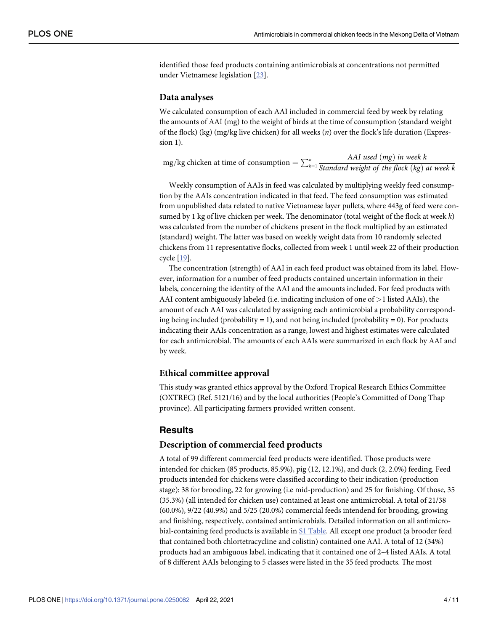identified those feed products containing antimicrobials at concentrations not permitted under Vietnamese legislation [23].

#### **Data analyses**

We calculated consumption of each AAI included in commercial feed by week by relating the amounts of AAI (mg) to the weight of birds at the time of consumption (standard weight of the flock) (kg) (mg/kg live chicken) for all weeks (*n*) over the flock's life duration (Expression 1).

mg/kg chicken at time of consumption  $= \sum_{k=1}^{n}$ *AAI used* ð*mg*Þ *in week k Standard weight of the flock* ð*kg*Þ *at week k*

Weekly consumption of AAIs in feed was calculated by multiplying weekly feed consumption by the AAIs concentration indicated in that feed. The feed consumption was estimated from unpublished data related to native Vietnamese layer pullets, where 443g of feed were consumed by 1 kg of live chicken per week. The denominator (total weight of the flock at week *k*) was calculated from the number of chickens present in the flock multiplied by an estimated (standard) weight. The latter was based on weekly weight data from 10 randomly selected chickens from 11 representative flocks, collected from week 1 until week 22 of their production cycle [19].

The concentration (strength) of AAI in each feed product was obtained from its label. However, information for a number of feed products contained uncertain information in their labels, concerning the identity of the AAI and the amounts included. For feed products with AAI content ambiguously labeled (i.e. indicating inclusion of one of *>*1 listed AAIs), the amount of each AAI was calculated by assigning each antimicrobial a probability corresponding being included (probability = 1), and not being included (probability = 0). For products indicating their AAIs concentration as a range, lowest and highest estimates were calculated for each antimicrobial. The amounts of each AAIs were summarized in each flock by AAI and by week.

#### **Ethical committee approval**

This study was granted ethics approval by the Oxford Tropical Research Ethics Committee (OXTREC) (Ref. 5121/16) and by the local authorities (People's Committed of Dong Thap province). All participating farmers provided written consent.

#### **Results**

#### **Description of commercial feed products**

A total of 99 different commercial feed products were identified. Those products were intended for chicken (85 products, 85.9%), pig (12, 12.1%), and duck (2, 2.0%) feeding. Feed products intended for chickens were classified according to their indication (production stage): 38 for brooding, 22 for growing (i.e mid-production) and 25 for finishing. Of those, 35 (35.3%) (all intended for chicken use) contained at least one antimicrobial. A total of 21/38 (60.0%), 9/22 (40.9%) and 5/25 (20.0%) commercial feeds intendend for brooding, growing and finishing, respectively, contained antimicrobials. Detailed information on all antimicrobial-containing feed products is available in S1 Table. All except one product (a brooder feed that contained both chlortetracycline and colistin) contained one AAI. A total of 12 (34%) products had an ambiguous label, indicating that it contained one of 2–4 listed AAIs. A total of 8 different AAIs belonging to 5 classes were listed in the 35 feed products. The most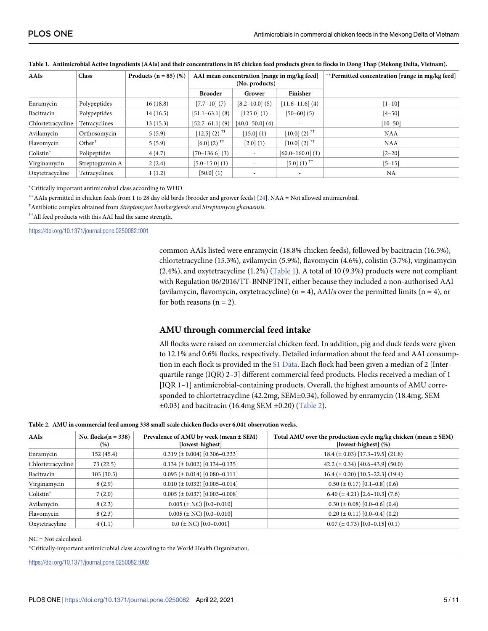| AAIs              | <b>Class</b>       | Products $(n = 85)$ (%) | AAI mean concentration [range in mg/kg feed]<br>(No. products) |                     |                                                        | **Permitted concentration [range in mg/kg feed] |
|-------------------|--------------------|-------------------------|----------------------------------------------------------------|---------------------|--------------------------------------------------------|-------------------------------------------------|
|                   |                    |                         | <b>Brooder</b>                                                 | Grower              | Finisher                                               |                                                 |
| Enramycin         | Polypeptides       | 16(18.8)                | $[7.7-10]$ (7)                                                 | $[8.2 - 10.0]$ (5)  | $[11.6-11.6]$ (4)                                      | $[1 - 10]$                                      |
| Bacitracin        | Polypeptides       | 14(16.5)                | $[51.1-63.1]$ (8)                                              | [125.0](1)          | $[50-60]$ (5)                                          | $[4 - 50]$                                      |
| Chlortetracycline | Tetracyclines      | 13(15.3)                | $[52.7-61.1] (9)$                                              | $[40.0 - 50.0]$ (4) |                                                        | $[10 - 50]$                                     |
| Avilamycin        | Orthosomycin       | 5(5.9)                  | $[12.5]$ (2) <sup><math>^{\dagger\dagger}</math></sup>         | [15.0](1)           | $[10.0]$ (2) <sup><math>^{\dagger\dagger}</math></sup> | <b>NAA</b>                                      |
| Flavomycin        | Other <sup>†</sup> | 5(5.9)                  | $[6.0]$ (2) <sup><math>^{\dagger\dagger}</math></sup>          | [2.0] (1)           | $[10.0]$ (2) <sup><math>+</math>†</sup>                | <b>NAA</b>                                      |
| Colistin*         | Polipeptides       | 4(4.7)                  | $[70-136.6]$ (3)                                               |                     | $[60.0 - 160.0]$ (1)                                   | $[2 - 20]$                                      |
| Virginamycin      | Streptogramin A    | 2(2.4)                  | $[5.0 - 15.0]$ (1)                                             |                     | $[5.0]$ (1) <sup><math>^{\dagger\dagger}</math></sup>  | $[5-15]$                                        |
| Oxytetracycline   | Tetracyclines      | 1(1.2)                  | [50.0] (1)                                                     |                     | $\overline{\phantom{a}}$                               | <b>NA</b>                                       |

#### Table 1. Antimicrobial Active Ingredients (AAIs) and their concentrations in 85 chicken feed products given to flocks in Dong Thap (Mekong Delta, Vietnam).

�Critically important antimicrobial class according to WHO.

��AAIs permitted in chicken feeds from 1 to 28 day old birds (brooder and grower feeds) [24]. NAA = Not allowed antimicrobial.

† Antibiotic complex obtained from *Streptomyces bambergiensis* and *Streptomyces ghanaensis*.

††All feed products with this AAI had the same strength.

<https://doi.org/10.1371/journal.pone.0250082.t001>

common AAIs listed were enramycin (18.8% chicken feeds), followed by bacitracin (16.5%), chlortetracycline (15.3%), avilamycin (5.9%), flavomycin (4.6%), colistin (3.7%), virginamycin (2.4%), and oxytetracycline (1.2%) (Table 1). A total of 10 (9.3%) products were not compliant with Regulation 06/2016/TT-BNNPTNT, either because they included a non-authorised AAI (avilamycin, flavomycin, oxytetracycline) ( $n = 4$ ), AAI/s over the permitted limits ( $n = 4$ ), or for both reasons  $(n = 2)$ .

#### **AMU through commercial feed intake**

All flocks were raised on commercial chicken feed. In addition, pig and duck feeds were given to 12.1% and 0.6% flocks, respectively. Detailed information about the feed and AAI consumption in each flock is provided in the S1 Data. Each flock had been given a median of 2 [Interquartile range (IQR) 2–3] different commercial feed products. Flocks received a median of 1 [IQR 1–1] antimicrobial-containing products. Overall, the highest amounts of AMU corresponded to chlortetracycline (42.2mg, SEM±0.34), followed by enramycin (18.4mg, SEM  $\pm 0.03$ ) and bacitracin (16.4mg SEM  $\pm 0.20$ ) (Table 2).

#### **Table 2. AMU in commercial feed among 338 small-scale chicken flocks over 6,041 observation weeks.**

| <b>AAIs</b>       | No. flocks $(n = 338)$<br>(%) | Prevalence of AMU by week (mean $\pm$ SEM)<br>[lowest-highest]  | Total AMU over the production cycle mg/kg chicken (mean $\pm$ SEM)<br>[lowest-highest] (%) |
|-------------------|-------------------------------|-----------------------------------------------------------------|--------------------------------------------------------------------------------------------|
| Enramycin         | 152(45.4)                     | $0.319 \left( \pm 0.004 \right)$ [0.306-0.333]                  | $18.4 (\pm 0.03)$ [17.3-19.5] (21.8)                                                       |
| Chlortetracycline | 73(22.5)                      | $0.134 (\pm 0.002) [0.134 - 0.135]$                             | 42.2 ( $\pm$ 0.34) [40.6–43.9] (50.0)                                                      |
| Bacitracin        | 103(30.5)                     | $0.095 (\pm 0.014) [0.080 - 0.111]$                             | $16.4 (\pm 0.20)$ [10.5-22.3] (19.4)                                                       |
| Virginamycin      | 8(2.9)                        | $0.010 \ (\pm 0.032) \ [0.005 - 0.014]$                         | $0.50 \ (\pm 0.17) \ [0.1 - 0.8] \ (0.6)$                                                  |
| Colistin*         | 7(2.0)                        | $0.005 (\pm 0.037) [0.003 - 0.008]$                             | $6.40 \left( \pm 4.21 \right)$ [2.6-10.3] (7.6)                                            |
| Avilamycin        | 8(2.3)                        | $0.005 \left( \pm \text{NC} \right) \left[ 0.0 - 0.010 \right]$ | $0.30 (\pm 0.08) [0.0-0.6] (0.4)$                                                          |
| Flavomycin        | 8(2.3)                        | $0.005 \left( \pm \text{NC} \right) \left[ 0.0 - 0.010 \right]$ | $0.20 (\pm 0.11) [0.0 - 0.4] (0.2)$                                                        |
| Oxytetracyline    | 4(1.1)                        | $0.0 \ (\pm \text{ NC}) \ [0.0 - 0.001]$                        | $0.07 (\pm 0.73) [0.0 - 0.15] (0.1)$                                                       |

NC = Not calculated.

�Critically-important antimicrobial class according to the World Health Organization.

<https://doi.org/10.1371/journal.pone.0250082.t002>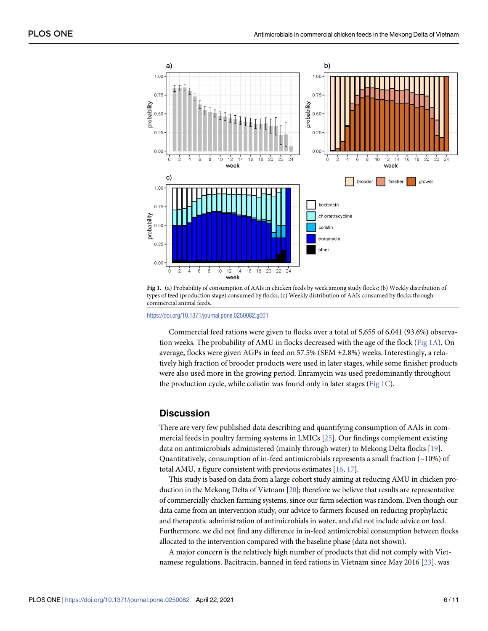

**Fig 1.** (a) Probability of consumption of AAIs in chicken feeds by week among study flocks; (b) Weekly distribution of types of feed (production stage) consumed by flocks; (c) Weekly distribution of AAIs consumed by flocks through commercial animal feeds.

<https://doi.org/10.1371/journal.pone.0250082.g001>

Commercial feed rations were given to flocks over a total of 5,655 of 6,041 (93.6%) observation weeks. The probability of AMU in flocks decreased with the age of the flock (Fig 1A). On average, flocks were given AGPs in feed on 57.5% (SEM ±2.8%) weeks. Interestingly, a relatively high fraction of brooder products were used in later stages, while some finisher products were also used more in the growing period. Enramycin was used predominantly throughout the production cycle, while colistin was found only in later stages ( $Fig 1C$ ).

#### **Discussion**

There are very few published data describing and quantifying consumption of AAIs in commercial feeds in poultry farming systems in LMICs [25]. Our findings complement existing data on antimicrobials administered (mainly through water) to Mekong Delta flocks [19]. Quantitatively, consumption of in-feed antimicrobials represents a small fraction (~10%) of total AMU, a figure consistent with previous estimates [16, 17].

This study is based on data from a large cohort study aiming at reducing AMU in chicken production in the Mekong Delta of Vietnam [20]; therefore we believe that results are representative of commercially chicken farming systems, since our farm selection was random. Even though our data came from an intervention study, our advice to farmers focused on reducing prophylactic and therapeutic administration of antimicrobials in water, and did not include advice on feed. Furthermore, we did not find any difference in in-feed antimicrobial consumption between flocks allocated to the intervention compared with the baseline phase (data not shown).

A major concern is the relatively high number of products that did not comply with Vietnamese regulations. Bacitracin, banned in feed rations in Vietnam since May 2016 [23], was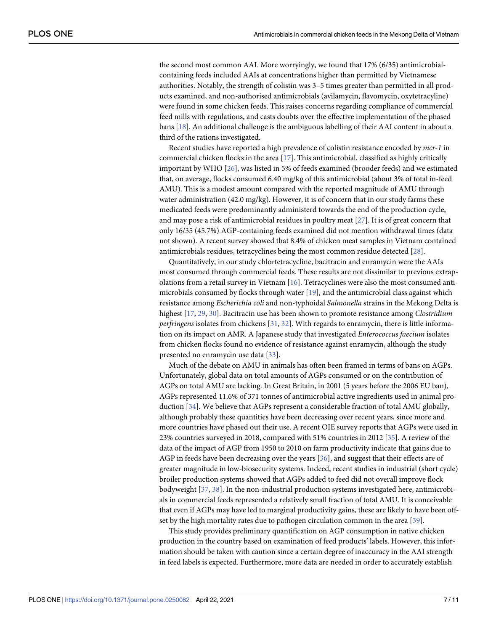the second most common AAI. More worryingly, we found that 17% (6/35) antimicrobialcontaining feeds included AAIs at concentrations higher than permitted by Vietnamese authorities. Notably, the strength of colistin was 3–5 times greater than permitted in all products examined, and non-authorised antimicrobials (avilamycin, flavomycin, oxytetracyline) were found in some chicken feeds. This raises concerns regarding compliance of commercial feed mills with regulations, and casts doubts over the effective implementation of the phased bans [18]. An additional challenge is the ambiguous labelling of their AAI content in about a third of the rations investigated.

Recent studies have reported a high prevalence of colistin resistance encoded by *mcr-1* in commercial chicken flocks in the area [17]. This antimicrobial, classified as highly critically important by WHO [26], was listed in 5% of feeds examined (brooder feeds) and we estimated that, on average, flocks consumed 6.40 mg/kg of this antimicrobial (about 3% of total in-feed AMU). This is a modest amount compared with the reported magnitude of AMU through water administration (42.0 mg/kg). However, it is of concern that in our study farms these medicated feeds were predominantly administerd towards the end of the production cycle, and may pose a risk of antimicrobial residues in poultry meat [27]. It is of great concern that only 16/35 (45.7%) AGP-containing feeds examined did not mention withdrawal times (data not shown). A recent survey showed that 8.4% of chicken meat samples in Vietnam contained antimicrobials residues, tetracyclines being the most common residue detected [28].

Quantitatively, in our study chlortetracycline, bacitracin and enramycin were the AAIs most consumed through commercial feeds. These results are not dissimilar to previous extrapolations from a retail survey in Vietnam [16]. Tetracyclines were also the most consumed antimicrobials consumed by flocks through water [19], and the antimicrobial class against which resistance among *Escherichia coli* and non-typhoidal *Salmonella* strains in the Mekong Delta is highest [17, 29, 30]. Bacitracin use has been shown to promote resistance among *Clostridium perfringens* isolates from chickens [31, 32]. With regards to enramycin, there is little information on its impact on AMR. A Japanese study that investigated *Enterococcus faecium* isolates from chicken flocks found no evidence of resistance against enramycin, although the study presented no enramycin use data [33].

Much of the debate on AMU in animals has often been framed in terms of bans on AGPs. Unfortunately, global data on total amounts of AGPs consumed or on the contribution of AGPs on total AMU are lacking. In Great Britain, in 2001 (5 years before the 2006 EU ban), AGPs represented 11.6% of 371 tonnes of antimicrobial active ingredients used in animal production [34]. We believe that AGPs represent a considerable fraction of total AMU globally, although probably these quantities have been decreasing over recent years, since more and more countries have phased out their use. A recent OIE survey reports that AGPs were used in 23% countries surveyed in 2018, compared with 51% countries in 2012 [35]. A review of the data of the impact of AGP from 1950 to 2010 on farm productivity indicate that gains due to AGP in feeds have been decreasing over the years [36], and suggest that their effects are of greater magnitude in low-biosecurity systems. Indeed, recent studies in industrial (short cycle) broiler production systems showed that AGPs added to feed did not overall improve flock bodyweight [37, 38]. In the non-industrial production systems investigated here, antimicrobials in commercial feeds represented a relatively small fraction of total AMU. It is conceivable that even if AGPs may have led to marginal productivity gains, these are likely to have been offset by the high mortality rates due to pathogen circulation common in the area [39].

This study provides preliminary quantification on AGP consumption in native chicken production in the country based on examination of feed products' labels. However, this information should be taken with caution since a certain degree of inaccuracy in the AAI strength in feed labels is expected. Furthermore, more data are needed in order to accurately establish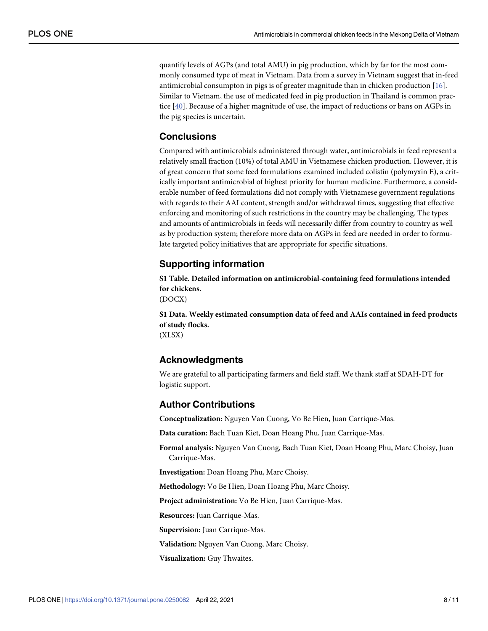quantify levels of AGPs (and total AMU) in pig production, which by far for the most commonly consumed type of meat in Vietnam. Data from a survey in Vietnam suggest that in-feed antimicrobial consumpton in pigs is of greater magnitude than in chicken production [16]. Similar to Vietnam, the use of medicated feed in pig production in Thailand is common practice [40]. Because of a higher magnitude of use, the impact of reductions or bans on AGPs in the pig species is uncertain.

## **Conclusions**

Compared with antimicrobials administered through water, antimicrobials in feed represent a relatively small fraction (10%) of total AMU in Vietnamese chicken production. However, it is of great concern that some feed formulations examined included colistin (polymyxin E), a critically important antimicrobial of highest priority for human medicine. Furthermore, a considerable number of feed formulations did not comply with Vietnamese government regulations with regards to their AAI content, strength and/or withdrawal times, suggesting that effective enforcing and monitoring of such restrictions in the country may be challenging. The types and amounts of antimicrobials in feeds will necessarily differ from country to country as well as by production system; therefore more data on AGPs in feed are needed in order to formulate targeted policy initiatives that are appropriate for specific situations.

# **Supporting information**

**S1 [Table.](http://www.plosone.org/article/fetchSingleRepresentation.action?uri=info:doi/10.1371/journal.pone.0250082.s001) Detailed information on antimicrobial-containing feed formulations intended for chickens.**

(DOCX)

**S1 [Data](http://www.plosone.org/article/fetchSingleRepresentation.action?uri=info:doi/10.1371/journal.pone.0250082.s002). Weekly estimated consumption data of feed and AAIs contained in feed products of study flocks.** (XLSX)

# **Acknowledgments**

We are grateful to all participating farmers and field staff. We thank staff at SDAH-DT for logistic support.

## **Author Contributions**

**Conceptualization:** Nguyen Van Cuong, Vo Be Hien, Juan Carrique-Mas.

**Data curation:** Bach Tuan Kiet, Doan Hoang Phu, Juan Carrique-Mas.

**Formal analysis:** Nguyen Van Cuong, Bach Tuan Kiet, Doan Hoang Phu, Marc Choisy, Juan Carrique-Mas.

**Investigation:** Doan Hoang Phu, Marc Choisy.

**Methodology:** Vo Be Hien, Doan Hoang Phu, Marc Choisy.

**Project administration:** Vo Be Hien, Juan Carrique-Mas.

**Resources:** Juan Carrique-Mas.

**Supervision:** Juan Carrique-Mas.

**Validation:** Nguyen Van Cuong, Marc Choisy.

**Visualization:** Guy Thwaites.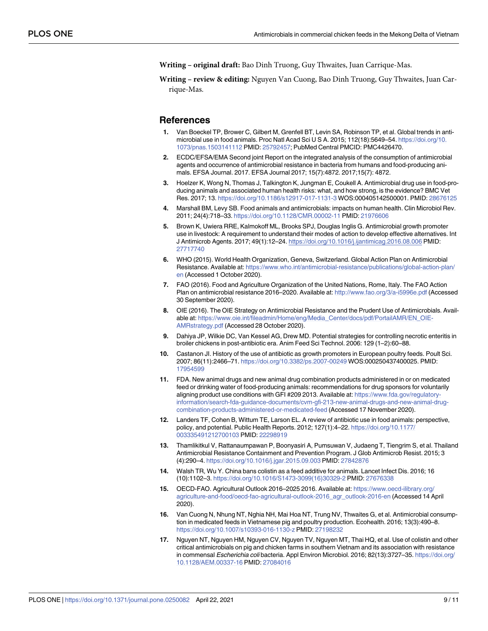**Writing – original draft:** Bao Dinh Truong, Guy Thwaites, Juan Carrique-Mas.

**Writing – review & editing:** Nguyen Van Cuong, Bao Dinh Truong, Guy Thwaites, Juan Carrique-Mas.

#### **References**

- **1.** Van Boeckel TP, Brower C, Gilbert M, Grenfell BT, Levin SA, Robinson TP, et al. Global trends in antimicrobial use in food animals. Proc Natl Acad Sci U S A. 2015; 112(18):5649–54. [https://doi.org/10.](https://doi.org/10.1073/pnas.1503141112) [1073/pnas.1503141112](https://doi.org/10.1073/pnas.1503141112) PMID: [25792457](http://www.ncbi.nlm.nih.gov/pubmed/25792457); PubMed Central PMCID: PMC4426470.
- **2.** ECDC/EFSA/EMA Second joint Report on the integrated analysis of the consumption of antimicrobial agents and occurrence of antimicrobial resistance in bacteria from humans and food-producing animals. EFSA Journal. 2017. EFSA Journal 2017; 15(7):4872. 2017;15(7): 4872.
- **3.** Hoelzer K, Wong N, Thomas J, Talkington K, Jungman E, Coukell A. Antimicrobial drug use in food-producing animals and associated human health risks: what, and how strong, is the evidence? BMC Vet Res. 2017; 13. <https://doi.org/10.1186/s12917-017-1131-3> WOS:000405142500001. PMID: [28676125](http://www.ncbi.nlm.nih.gov/pubmed/28676125)
- **4.** Marshall BM, Levy SB. Food animals and antimicrobials: impacts on human health. Clin Microbiol Rev. 2011; 24(4):718–33. <https://doi.org/10.1128/CMR.00002-11> PMID: [21976606](http://www.ncbi.nlm.nih.gov/pubmed/21976606)
- **5.** Brown K, Uwiera RRE, Kalmokoff ML, Brooks SPJ, Douglas Inglis G. Antimicrobial growth promoter use in livestock: A requirement to understand their modes of action to develop effective alternatives. Int J Antimicrob Agents. 2017; 49(1):12–24. <https://doi.org/10.1016/j.ijantimicag.2016.08.006> PMID: [27717740](http://www.ncbi.nlm.nih.gov/pubmed/27717740)
- **6.** WHO (2015). World Health Organization, Geneva, Switzerland. Global Action Plan on Antimicrobial Resistance. Available at: [https://www.who.int/antimicrobial-resistance/publications/global-action-plan/](https://www.who.int/antimicrobial-resistance/publications/global-action-plan/en) [en](https://www.who.int/antimicrobial-resistance/publications/global-action-plan/en) (Accessed 1 October 2020).
- **7.** FAO (2016). Food and Agriculture Organization of the United Nations, Rome, Italy. The FAO Action Plan on antimicrobial resistance 2016–2020. Available at: <http://www.fao.org/3/a-i5996e.pdf> (Accessed 30 September 2020).
- **8.** OIE (2016). The OIE Strategy on Antimicrobial Resistance and the Prudent Use of Antimicrobials. Available at: [https://www.oie.int/fileadmin/Home/eng/Media\\_Center/docs/pdf/PortailAMR/EN\\_OIE-](https://www.oie.int/fileadmin/Home/eng/Media_Center/docs/pdf/PortailAMR/EN_OIE-AMRstrategy.pdf)[AMRstrategy.pdf](https://www.oie.int/fileadmin/Home/eng/Media_Center/docs/pdf/PortailAMR/EN_OIE-AMRstrategy.pdf) (Accessed 28 October 2020).
- **9.** Dahiya JP, Wilkie DC, Van Kessel AG, Drew MD. Potential strategies for controlling necrotic enteritis in broiler chickens in post-antibiotic era. Anim Feed Sci Technol. 2006: 129 (1–2):60–88.
- **10.** Castanon JI. History of the use of antibiotic as growth promoters in European poultry feeds. Poult Sci. 2007; 86(11):2466–71. <https://doi.org/10.3382/ps.2007-00249> WOS:000250437400025. PMID: [17954599](http://www.ncbi.nlm.nih.gov/pubmed/17954599)
- **11.** FDA. New animal drugs and new animal drug combination products administered in or on medicated feed or drinking water of food-producing animals: recommendations for drug sponsors for voluntarily aligning product use conditions with GFI #209 2013. Available at: [https://www.fda.gov/regulatory](https://www.fda.gov/regulatory-information/search-fda-guidance-documents/cvm-gfi-213-new-animal-drugs-and-new-animal-drug-combination-products-administered-or-medicated-feed)[information/search-fda-guidance-documents/cvm-gfi-213-new-animal-drugs-and-new-animal-drug](https://www.fda.gov/regulatory-information/search-fda-guidance-documents/cvm-gfi-213-new-animal-drugs-and-new-animal-drug-combination-products-administered-or-medicated-feed)[combination-products-administered-or-medicated-feed](https://www.fda.gov/regulatory-information/search-fda-guidance-documents/cvm-gfi-213-new-animal-drugs-and-new-animal-drug-combination-products-administered-or-medicated-feed) (Accessed 17 November 2020).
- **12.** Landers TF, Cohen B, Wittum TE, Larson EL. A review of antibiotic use in food animals: perspective, policy, and potential. Public Health Reports. 2012; 127(1):4–22. [https://doi.org/10.1177/](https://doi.org/10.1177/003335491212700103) [003335491212700103](https://doi.org/10.1177/003335491212700103) PMID: [22298919](http://www.ncbi.nlm.nih.gov/pubmed/22298919)
- **13.** Thamlikitkul V, Rattanaumpawan P, Boonyasiri A, Pumsuwan V, Judaeng T, Tiengrim S, et al. Thailand Antimicrobial Resistance Containment and Prevention Program. J Glob Antimicrob Resist. 2015; 3 (4):290–4. <https://doi.org/10.1016/j.jgar.2015.09.003> PMID: [27842876](http://www.ncbi.nlm.nih.gov/pubmed/27842876)
- **14.** Walsh TR, Wu Y. China bans colistin as a feed additive for animals. Lancet Infect Dis. 2016; 16 (10):1102–3. [https://doi.org/10.1016/S1473-3099\(16\)30329-2](https://doi.org/10.1016/S1473-3099%2816%2930329-2) PMID: [27676338](http://www.ncbi.nlm.nih.gov/pubmed/27676338)
- **15.** OECD-FAO. Agricultural Outlook 2016–2025 2016. Available at: [https://www.oecd-ilibrary.org/](https://www.oecd-ilibrary.org/agriculture-and-food/oecd-fao-agricultural-outlook-2016_agr_outlook-2016-en) [agriculture-and-food/oecd-fao-agricultural-outlook-2016\\_agr\\_outlook-2016-en](https://www.oecd-ilibrary.org/agriculture-and-food/oecd-fao-agricultural-outlook-2016_agr_outlook-2016-en) (Accessed 14 April 2020).
- **16.** Van Cuong N, Nhung NT, Nghia NH, Mai Hoa NT, Trung NV, Thwaites G, et al. Antimicrobial consumption in medicated feeds in Vietnamese pig and poultry production. Ecohealth. 2016; 13(3):490–8. <https://doi.org/10.1007/s10393-016-1130-z> PMID: [27198232](http://www.ncbi.nlm.nih.gov/pubmed/27198232)
- **17.** Nguyen NT, Nguyen HM, Nguyen CV, Nguyen TV, Nguyen MT, Thai HQ, et al. Use of colistin and other critical antimicrobials on pig and chicken farms in southern Vietnam and its association with resistance in commensal Escherichia coli bacteria. Appl Environ Microbiol. 2016; 82(13):3727-35. [https://doi.org/](https://doi.org/10.1128/AEM.00337-16) [10.1128/AEM.00337-16](https://doi.org/10.1128/AEM.00337-16) PMID: [27084016](http://www.ncbi.nlm.nih.gov/pubmed/27084016)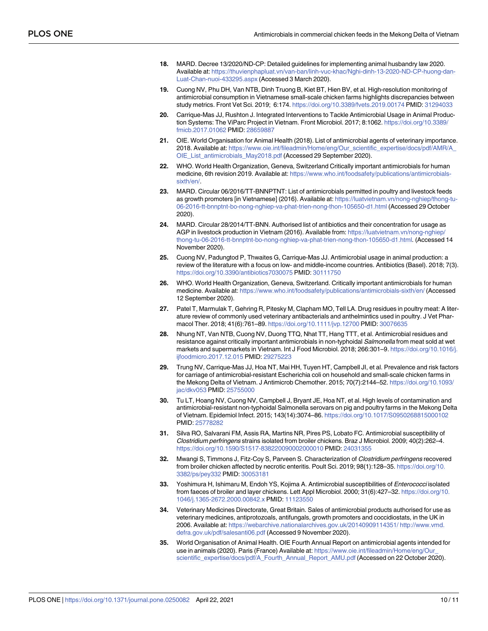- **18.** MARD. Decree 13/2020/ND-CP: Detailed guidelines for implementing animal husbandry law 2020. Available at: [https://thuvienphapluat.vn/van-ban/linh-vuc-khac/Nghi-dinh-13-2020-ND-CP-huong-dan-](https://thuvienphapluat.vn/van-ban/linh-vuc-khac/Nghi-dinh-13-2020-ND-CP-huong-dan-Luat-Chan-nuoi-433295.aspx)[Luat-Chan-nuoi-433295.aspx](https://thuvienphapluat.vn/van-ban/linh-vuc-khac/Nghi-dinh-13-2020-ND-CP-huong-dan-Luat-Chan-nuoi-433295.aspx) (Accessed 3 March 2020).
- **19.** Cuong NV, Phu DH, Van NTB, Dinh Truong B, Kiet BT, Hien BV, et al. High-resolution monitoring of antimicrobial consumption in Vietnamese small-scale chicken farms highlights discrepancies between study metrics. Front Vet Sci. 2019; 6:174. <https://doi.org/10.3389/fvets.2019.00174> PMID: [31294033](http://www.ncbi.nlm.nih.gov/pubmed/31294033)
- **20.** Carrique-Mas JJ, Rushton J. Integrated Interventions to Tackle Antimicrobial Usage in Animal Production Systems: The ViParc Project in Vietnam. Front Microbiol. 2017; 8:1062. [https://doi.org/10.3389/](https://doi.org/10.3389/fmicb.2017.01062) [fmicb.2017.01062](https://doi.org/10.3389/fmicb.2017.01062) PMID: [28659887](http://www.ncbi.nlm.nih.gov/pubmed/28659887)
- **21.** OIE. World Organisation for Animal Health (2018). List of antimicrobial agents of veterinary importance. 2018. Available at: [https://www.oie.int/fileadmin/Home/eng/Our\\_scientific\\_expertise/docs/pdf/AMR/A\\_](https://www.oie.int/fileadmin/Home/eng/Our_scientific_expertise/docs/pdf/AMR/A_OIE_List_antimicrobials_May2018.pdf) [OIE\\_List\\_antimicrobials\\_May2018.pdf](https://www.oie.int/fileadmin/Home/eng/Our_scientific_expertise/docs/pdf/AMR/A_OIE_List_antimicrobials_May2018.pdf) (Accessed 29 September 2020).
- **22.** WHO. World Health Organization, Geneva, Switzerland Critically important antimicrobials for human medicine, 6th revision 2019. Available at: [https://www.who.int/foodsafety/publications/antimicrobials](https://www.who.int/foodsafety/publications/antimicrobials-sixth/en/)[sixth/en/.](https://www.who.int/foodsafety/publications/antimicrobials-sixth/en/)
- **23.** MARD. Circular 06/2016/TT-BNNPTNT: List of antimicrobials permitted in poultry and livestock feeds as growth promoters [in Vietnamese] (2016). Available at: [https://luatvietnam.vn/nong-nghiep/thong-tu-](https://luatvietnam.vn/nong-nghiep/thong-tu-06-2016-tt-bnnptnt-bo-nong-nghiep-va-phat-trien-nong-thon-105650-d1.html)[06-2016-tt-bnnptnt-bo-nong-nghiep-va-phat-trien-nong-thon-105650-d1.html](https://luatvietnam.vn/nong-nghiep/thong-tu-06-2016-tt-bnnptnt-bo-nong-nghiep-va-phat-trien-nong-thon-105650-d1.html) (Accessed 29 October 2020).
- **24.** MARD. Circular 28/2014/TT-BNN. Authorised list of antibiotics and their concentration for usage as AGP in livestock production in Vietnam (2016). Available from: [https://luatvietnam.vn/nong-nghiep/](https://luatvietnam.vn/nong-nghiep/thong-tu-06-2016-tt-bnnptnt-bo-nong-nghiep-va-phat-trien-nong-thon-105650-d1.html) [thong-tu-06-2016-tt-bnnptnt-bo-nong-nghiep-va-phat-trien-nong-thon-105650-d1.html](https://luatvietnam.vn/nong-nghiep/thong-tu-06-2016-tt-bnnptnt-bo-nong-nghiep-va-phat-trien-nong-thon-105650-d1.html). (Accessed 14 November 2020).
- **25.** Cuong NV, Padungtod P, Thwaites G, Carrique-Mas JJ. Antimicrobial usage in animal production: a review of the literature with a focus on low- and middle-income countries. Antibiotics (Basel). 2018; 7(3). <https://doi.org/10.3390/antibiotics7030075> PMID: [30111750](http://www.ncbi.nlm.nih.gov/pubmed/30111750)
- **26.** WHO. World Health Organization, Geneva, Switzerland. Critically important antimicrobials for human medicine. Available at: <https://www.who.int/foodsafety/publications/antimicrobials-sixth/en/> (Accessed 12 September 2020).
- **27.** Patel T, Marmulak T, Gehring R, Pitesky M, Clapham MO, Tell LA. Drug residues in poultry meat: A literature review of commonly used veterinary antibacterials and anthelmintics used in poultry. J Vet Pharmacol Ther. 2018; 41(6):761–89. <https://doi.org/10.1111/jvp.12700> PMID: [30076635](http://www.ncbi.nlm.nih.gov/pubmed/30076635)
- **28.** Nhung NT, Van NTB, Cuong NV, Duong TTQ, Nhat TT, Hang TTT, et al. Antimicrobial residues and resistance against critically important antimicrobials in non-typhoidal Salmonella from meat sold at wet markets and supermarkets in Vietnam. Int J Food Microbiol. 2018; 266:301–9. [https://doi.org/10.1016/j.](https://doi.org/10.1016/j.ijfoodmicro.2017.12.015) [ijfoodmicro.2017.12.015](https://doi.org/10.1016/j.ijfoodmicro.2017.12.015) PMID: [29275223](http://www.ncbi.nlm.nih.gov/pubmed/29275223)
- **29.** Trung NV, Carrique-Mas JJ, Hoa NT, Mai HH, Tuyen HT, Campbell JI, et al. Prevalence and risk factors for carriage of antimicrobial-resistant Escherichia coli on household and small-scale chicken farms in the Mekong Delta of Vietnam. J Antimicrob Chemother. 2015; 70(7):2144–52. [https://doi.org/10.1093/](https://doi.org/10.1093/jac/dkv053) [jac/dkv053](https://doi.org/10.1093/jac/dkv053) PMID: [25755000](http://www.ncbi.nlm.nih.gov/pubmed/25755000)
- **30.** Tu LT, Hoang NV, Cuong NV, Campbell J, Bryant JE, Hoa NT, et al. High levels of contamination and antimicrobial-resistant non-typhoidal Salmonella serovars on pig and poultry farms in the Mekong Delta of Vietnam. Epidemiol Infect. 2015; 143(14):3074–86. <https://doi.org/10.1017/S0950268815000102> PMID: [25778282](http://www.ncbi.nlm.nih.gov/pubmed/25778282)
- **31.** Silva RO, Salvarani FM, Assis RA, Martins NR, Pires PS, Lobato FC. Antimicrobial susceptibility of Clostridium perfringens strains isolated from broiler chickens. Braz J Microbiol. 2009; 40(2):262–4. <https://doi.org/10.1590/S1517-838220090002000010> PMID: [24031355](http://www.ncbi.nlm.nih.gov/pubmed/24031355)
- **32.** Mwangi S, Timmons J, Fitz-Coy S, Parveen S. Characterization of Clostridium perfringens recovered from broiler chicken affected by necrotic enteritis. Poult Sci. 2019; 98(1):128–35. [https://doi.org/10.](https://doi.org/10.3382/ps/pey332) [3382/ps/pey332](https://doi.org/10.3382/ps/pey332) PMID: [30053181](http://www.ncbi.nlm.nih.gov/pubmed/30053181)
- **33.** Yoshimura H, Ishimaru M, Endoh YS, Kojima A. Antimicrobial susceptibilities of Enterococci isolated from faeces of broiler and layer chickens. Lett Appl Microbiol. 2000; 31(6):427–32. [https://doi.org/10.](https://doi.org/10.1046/j.1365-2672.2000.00842.x) [1046/j.1365-2672.2000.00842.x](https://doi.org/10.1046/j.1365-2672.2000.00842.x) PMID: [11123550](http://www.ncbi.nlm.nih.gov/pubmed/11123550)
- **34.** Veterinary Medicines Directorate, Great Britain. Sales of antimicrobial products authorised for use as veterinary medicines, antiprotozoals, antifungals, growth promoters and coccidiostats, in the UK in 2006. Available at: <https://webarchive.nationalarchives.gov.uk/20140909114351/> [http://www.vmd.](http://www.vmd.defra.gov.uk/pdf/salesanti06.pdf) [defra.gov.uk/pdf/salesanti06.pdf](http://www.vmd.defra.gov.uk/pdf/salesanti06.pdf) (Accessed 9 November 2020).
- **35.** World Organisation of Animal Health. OIE Fourth Annual Report on antimicrobial agents intended for use in animals (2020). Paris (France) Available at: [https://www.oie.int/fileadmin/Home/eng/Our\\_](https://www.oie.int/fileadmin/Home/eng/Our_scientific_expertise/docs/pdf/A_Fourth_Annual_Report_AMU.pdf) [scientific\\_expertise/docs/pdf/A\\_Fourth\\_Annual\\_Report\\_AMU.pdf](https://www.oie.int/fileadmin/Home/eng/Our_scientific_expertise/docs/pdf/A_Fourth_Annual_Report_AMU.pdf) (Accessed on 22 October 2020).